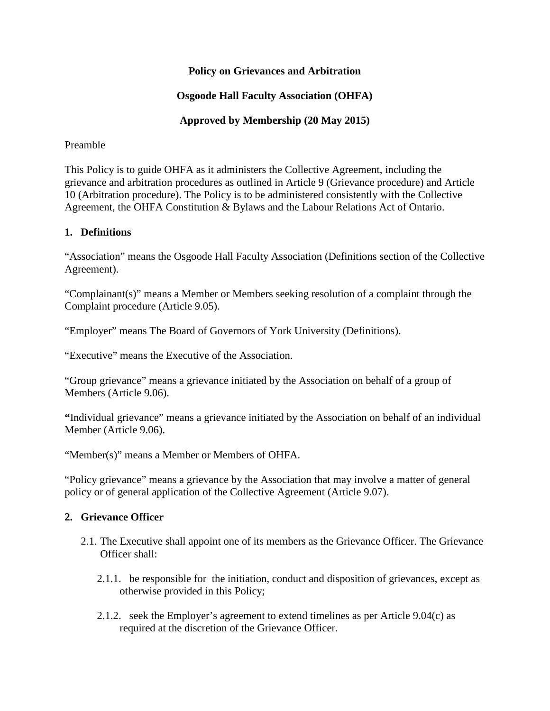### **Policy on Grievances and Arbitration**

# **Osgoode Hall Faculty Association (OHFA)**

# **Approved by Membership (20 May 2015)**

#### Preamble

This Policy is to guide OHFA as it administers the Collective Agreement, including the grievance and arbitration procedures as outlined in Article 9 (Grievance procedure) and Article 10 (Arbitration procedure). The Policy is to be administered consistently with the Collective Agreement, the OHFA Constitution & Bylaws and the Labour Relations Act of Ontario.

#### **1. Definitions**

"Association" means the Osgoode Hall Faculty Association (Definitions section of the Collective Agreement).

"Complainant(s)" means a Member or Members seeking resolution of a complaint through the Complaint procedure (Article 9.05).

"Employer" means The Board of Governors of York University (Definitions).

"Executive" means the Executive of the Association.

"Group grievance" means a grievance initiated by the Association on behalf of a group of Members (Article 9.06).

**"**Individual grievance" means a grievance initiated by the Association on behalf of an individual Member (Article 9.06).

"Member(s)" means a Member or Members of OHFA.

"Policy grievance" means a grievance by the Association that may involve a matter of general policy or of general application of the Collective Agreement (Article 9.07).

#### **2. Grievance Officer**

- 2.1. The Executive shall appoint one of its members as the Grievance Officer. The Grievance Officer shall:
	- 2.1.1. be responsible for the initiation, conduct and disposition of grievances, except as otherwise provided in this Policy;
	- 2.1.2. seek the Employer's agreement to extend timelines as per Article  $9.04(c)$  as required at the discretion of the Grievance Officer.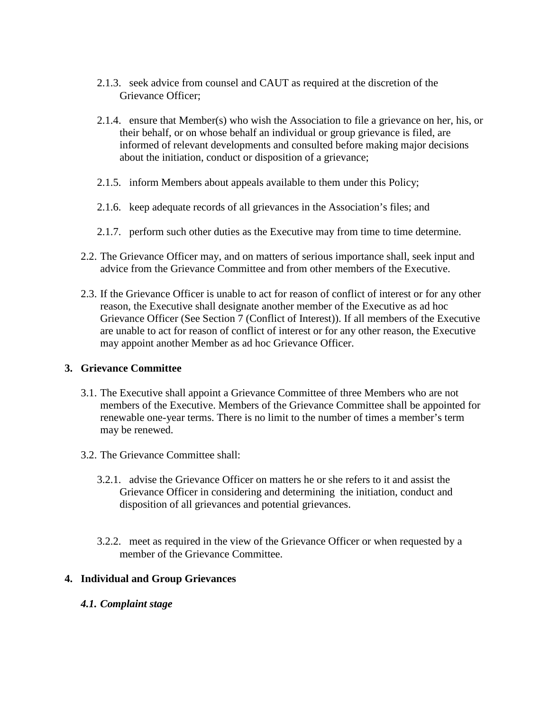- 2.1.3. seek advice from counsel and CAUT as required at the discretion of the Grievance Officer;
- 2.1.4. ensure that Member(s) who wish the Association to file a grievance on her, his, or their behalf, or on whose behalf an individual or group grievance is filed, are informed of relevant developments and consulted before making major decisions about the initiation, conduct or disposition of a grievance;
- 2.1.5. inform Members about appeals available to them under this Policy;
- 2.1.6. keep adequate records of all grievances in the Association's files; and
- 2.1.7. perform such other duties as the Executive may from time to time determine.
- 2.2. The Grievance Officer may, and on matters of serious importance shall, seek input and advice from the Grievance Committee and from other members of the Executive.
- 2.3. If the Grievance Officer is unable to act for reason of conflict of interest or for any other reason, the Executive shall designate another member of the Executive as ad hoc Grievance Officer (See Section 7 (Conflict of Interest)). If all members of the Executive are unable to act for reason of conflict of interest or for any other reason, the Executive may appoint another Member as ad hoc Grievance Officer.

## **3. Grievance Committee**

- 3.1. The Executive shall appoint a Grievance Committee of three Members who are not members of the Executive. Members of the Grievance Committee shall be appointed for renewable one-year terms. There is no limit to the number of times a member's term may be renewed.
- 3.2. The Grievance Committee shall:
	- 3.2.1. advise the Grievance Officer on matters he or she refers to it and assist the Grievance Officer in considering and determining the initiation, conduct and disposition of all grievances and potential grievances.
	- 3.2.2. meet as required in the view of the Grievance Officer or when requested by a member of the Grievance Committee.

## **4. Individual and Group Grievances**

*4.1. Complaint stage*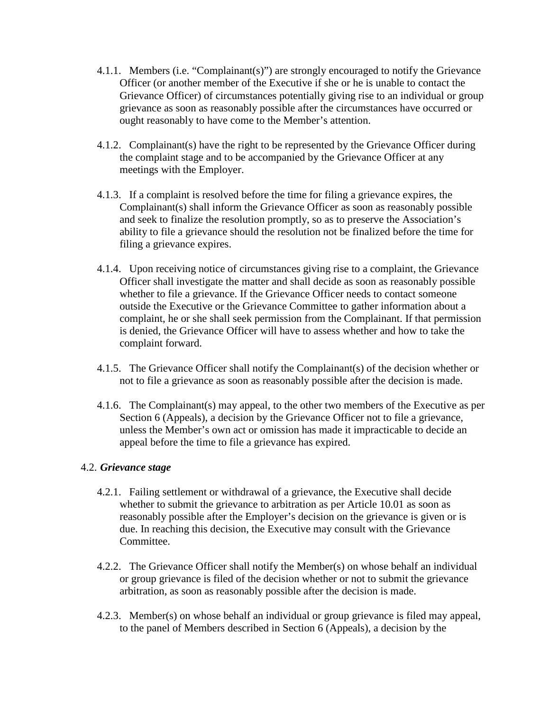- 4.1.1. Members (i.e. "Complainant(s)") are strongly encouraged to notify the Grievance Officer (or another member of the Executive if she or he is unable to contact the Grievance Officer) of circumstances potentially giving rise to an individual or group grievance as soon as reasonably possible after the circumstances have occurred or ought reasonably to have come to the Member's attention.
- 4.1.2. Complainant(s) have the right to be represented by the Grievance Officer during the complaint stage and to be accompanied by the Grievance Officer at any meetings with the Employer.
- 4.1.3. If a complaint is resolved before the time for filing a grievance expires, the Complainant(s) shall inform the Grievance Officer as soon as reasonably possible and seek to finalize the resolution promptly, so as to preserve the Association's ability to file a grievance should the resolution not be finalized before the time for filing a grievance expires.
- 4.1.4. Upon receiving notice of circumstances giving rise to a complaint, the Grievance Officer shall investigate the matter and shall decide as soon as reasonably possible whether to file a grievance. If the Grievance Officer needs to contact someone outside the Executive or the Grievance Committee to gather information about a complaint, he or she shall seek permission from the Complainant. If that permission is denied, the Grievance Officer will have to assess whether and how to take the complaint forward.
- 4.1.5. The Grievance Officer shall notify the Complainant(s) of the decision whether or not to file a grievance as soon as reasonably possible after the decision is made.
- 4.1.6. The Complainant(s) may appeal, to the other two members of the Executive as per Section 6 (Appeals), a decision by the Grievance Officer not to file a grievance, unless the Member's own act or omission has made it impracticable to decide an appeal before the time to file a grievance has expired.

#### 4.2. *Grievance stage*

- 4.2.1. Failing settlement or withdrawal of a grievance, the Executive shall decide whether to submit the grievance to arbitration as per Article 10.01 as soon as reasonably possible after the Employer's decision on the grievance is given or is due. In reaching this decision, the Executive may consult with the Grievance Committee.
- 4.2.2. The Grievance Officer shall notify the Member(s) on whose behalf an individual or group grievance is filed of the decision whether or not to submit the grievance arbitration, as soon as reasonably possible after the decision is made.
- 4.2.3. Member(s) on whose behalf an individual or group grievance is filed may appeal, to the panel of Members described in Section 6 (Appeals), a decision by the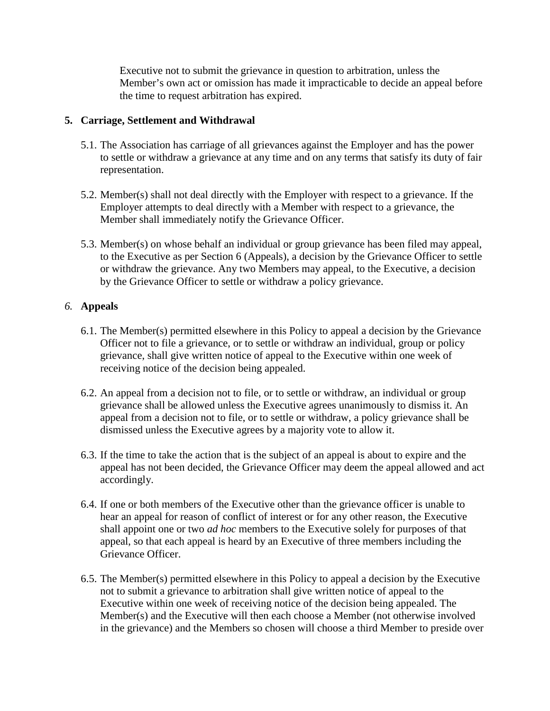Executive not to submit the grievance in question to arbitration, unless the Member's own act or omission has made it impracticable to decide an appeal before the time to request arbitration has expired.

#### **5. Carriage, Settlement and Withdrawal**

- 5.1. The Association has carriage of all grievances against the Employer and has the power to settle or withdraw a grievance at any time and on any terms that satisfy its duty of fair representation.
- 5.2. Member(s) shall not deal directly with the Employer with respect to a grievance. If the Employer attempts to deal directly with a Member with respect to a grievance, the Member shall immediately notify the Grievance Officer.
- 5.3. Member(s) on whose behalf an individual or group grievance has been filed may appeal, to the Executive as per Section 6 (Appeals), a decision by the Grievance Officer to settle or withdraw the grievance. Any two Members may appeal, to the Executive, a decision by the Grievance Officer to settle or withdraw a policy grievance.

## *6.* **Appeals**

- 6.1. The Member(s) permitted elsewhere in this Policy to appeal a decision by the Grievance Officer not to file a grievance, or to settle or withdraw an individual, group or policy grievance, shall give written notice of appeal to the Executive within one week of receiving notice of the decision being appealed.
- 6.2. An appeal from a decision not to file, or to settle or withdraw, an individual or group grievance shall be allowed unless the Executive agrees unanimously to dismiss it. An appeal from a decision not to file, or to settle or withdraw, a policy grievance shall be dismissed unless the Executive agrees by a majority vote to allow it.
- 6.3. If the time to take the action that is the subject of an appeal is about to expire and the appeal has not been decided, the Grievance Officer may deem the appeal allowed and act accordingly.
- 6.4. If one or both members of the Executive other than the grievance officer is unable to hear an appeal for reason of conflict of interest or for any other reason, the Executive shall appoint one or two *ad hoc* members to the Executive solely for purposes of that appeal, so that each appeal is heard by an Executive of three members including the Grievance Officer.
- 6.5. The Member(s) permitted elsewhere in this Policy to appeal a decision by the Executive not to submit a grievance to arbitration shall give written notice of appeal to the Executive within one week of receiving notice of the decision being appealed. The Member(s) and the Executive will then each choose a Member (not otherwise involved in the grievance) and the Members so chosen will choose a third Member to preside over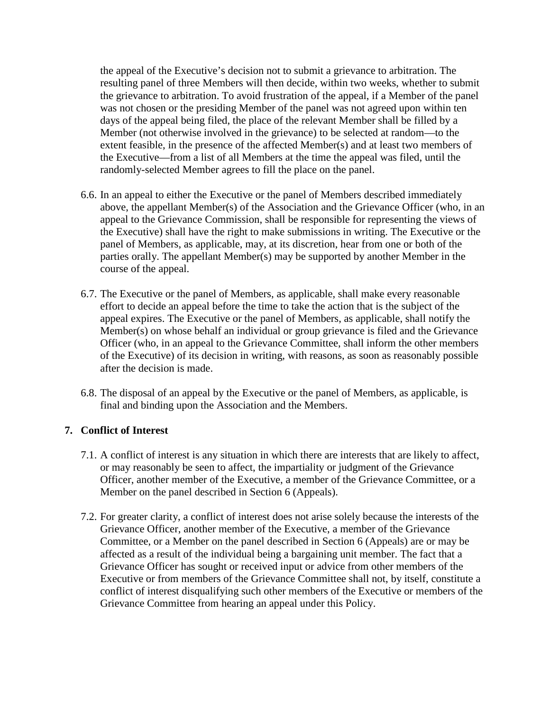the appeal of the Executive's decision not to submit a grievance to arbitration. The resulting panel of three Members will then decide, within two weeks, whether to submit the grievance to arbitration. To avoid frustration of the appeal, if a Member of the panel was not chosen or the presiding Member of the panel was not agreed upon within ten days of the appeal being filed, the place of the relevant Member shall be filled by a Member (not otherwise involved in the grievance) to be selected at random—to the extent feasible, in the presence of the affected Member(s) and at least two members of the Executive—from a list of all Members at the time the appeal was filed, until the randomly-selected Member agrees to fill the place on the panel.

- 6.6. In an appeal to either the Executive or the panel of Members described immediately above, the appellant Member(s) of the Association and the Grievance Officer (who, in an appeal to the Grievance Commission, shall be responsible for representing the views of the Executive) shall have the right to make submissions in writing. The Executive or the panel of Members, as applicable, may, at its discretion, hear from one or both of the parties orally. The appellant Member(s) may be supported by another Member in the course of the appeal.
- 6.7. The Executive or the panel of Members, as applicable, shall make every reasonable effort to decide an appeal before the time to take the action that is the subject of the appeal expires. The Executive or the panel of Members, as applicable, shall notify the Member(s) on whose behalf an individual or group grievance is filed and the Grievance Officer (who, in an appeal to the Grievance Committee, shall inform the other members of the Executive) of its decision in writing, with reasons, as soon as reasonably possible after the decision is made.
- 6.8. The disposal of an appeal by the Executive or the panel of Members, as applicable, is final and binding upon the Association and the Members.

## **7. Conflict of Interest**

- 7.1. A conflict of interest is any situation in which there are interests that are likely to affect, or may reasonably be seen to affect, the impartiality or judgment of the Grievance Officer, another member of the Executive, a member of the Grievance Committee, or a Member on the panel described in Section 6 (Appeals).
- 7.2. For greater clarity, a conflict of interest does not arise solely because the interests of the Grievance Officer, another member of the Executive, a member of the Grievance Committee, or a Member on the panel described in Section 6 (Appeals) are or may be affected as a result of the individual being a bargaining unit member. The fact that a Grievance Officer has sought or received input or advice from other members of the Executive or from members of the Grievance Committee shall not, by itself, constitute a conflict of interest disqualifying such other members of the Executive or members of the Grievance Committee from hearing an appeal under this Policy.